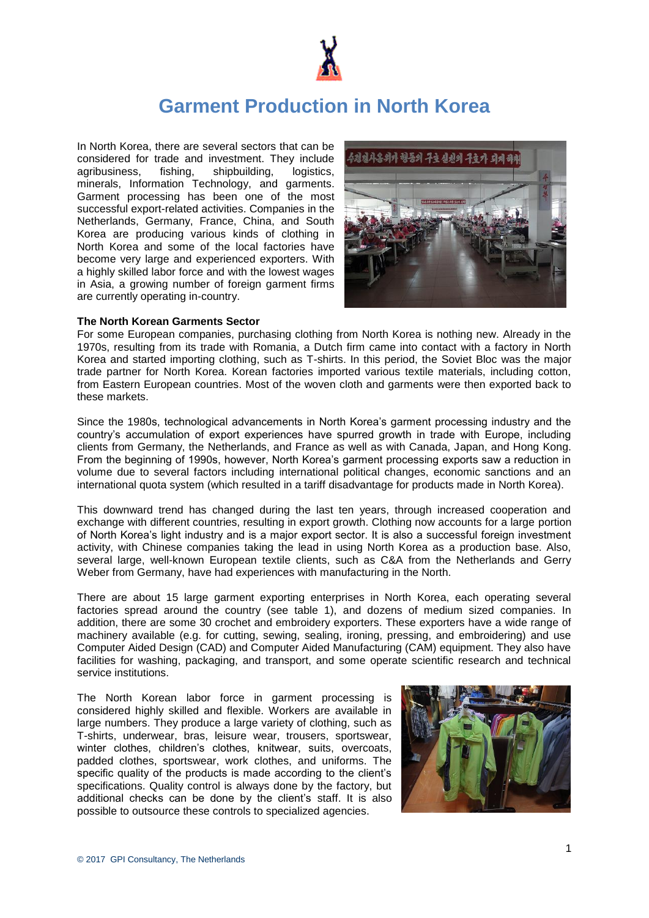

# **Garment Production in North Korea**

In North Korea, there are several sectors that can be considered for trade and investment. They include agribusiness, fishing, shipbuilding, logistics, minerals, Information Technology, and garments. Garment processing has been one of the most successful export-related activities. Companies in the Netherlands, Germany, France, China, and South Korea are producing various kinds of clothing in North Korea and some of the local factories have become very large and experienced exporters. With a highly skilled labor force and with the lowest wages in Asia, a growing number of foreign garment firms are currently operating in-country.



#### **The North Korean Garments Sector**

For some European companies, purchasing clothing from North Korea is nothing new. Already in the 1970s, resulting from its trade with Romania, a Dutch firm came into contact with a factory in North Korea and started importing clothing, such as T-shirts. In this period, the Soviet Bloc was the major trade partner for North Korea. Korean factories imported various textile materials, including cotton, from Eastern European countries. Most of the woven cloth and garments were then exported back to these markets.

Since the 1980s, technological advancements in North Korea's garment processing industry and the country's accumulation of export experiences have spurred growth in trade with Europe, including clients from Germany, the Netherlands, and France as well as with Canada, Japan, and Hong Kong. From the beginning of 1990s, however, North Korea's garment processing exports saw a reduction in volume due to several factors including international political changes, economic sanctions and an international quota system (which resulted in a tariff disadvantage for products made in North Korea).

This downward trend has changed during the last ten years, through increased cooperation and exchange with different countries, resulting in export growth. Clothing now accounts for a large portion of North Korea's light industry and is a major export sector. It is also a successful foreign investment activity, with Chinese companies taking the lead in using North Korea as a production base. Also, several large, well-known European textile clients, such as C&A from the Netherlands and Gerry Weber from Germany, have had experiences with manufacturing in the North.

There are about 15 large garment exporting enterprises in North Korea, each operating several factories spread around the country (see table 1), and dozens of medium sized companies. In addition, there are some 30 crochet and embroidery exporters. These exporters have a wide range of machinery available (e.g. for cutting, sewing, sealing, ironing, pressing, and embroidering) and use Computer Aided Design (CAD) and Computer Aided Manufacturing (CAM) equipment. They also have facilities for washing, packaging, and transport, and some operate scientific research and technical service institutions.

The North Korean labor force in garment processing is considered highly skilled and flexible. Workers are available in large numbers. They produce a large variety of clothing, such as T-shirts, underwear, bras, leisure wear, trousers, sportswear, winter clothes, children's clothes, knitwear, suits, overcoats, padded clothes, sportswear, work clothes, and uniforms. The specific quality of the products is made according to the client's specifications. Quality control is always done by the factory, but additional checks can be done by the client's staff. It is also possible to outsource these controls to specialized agencies.

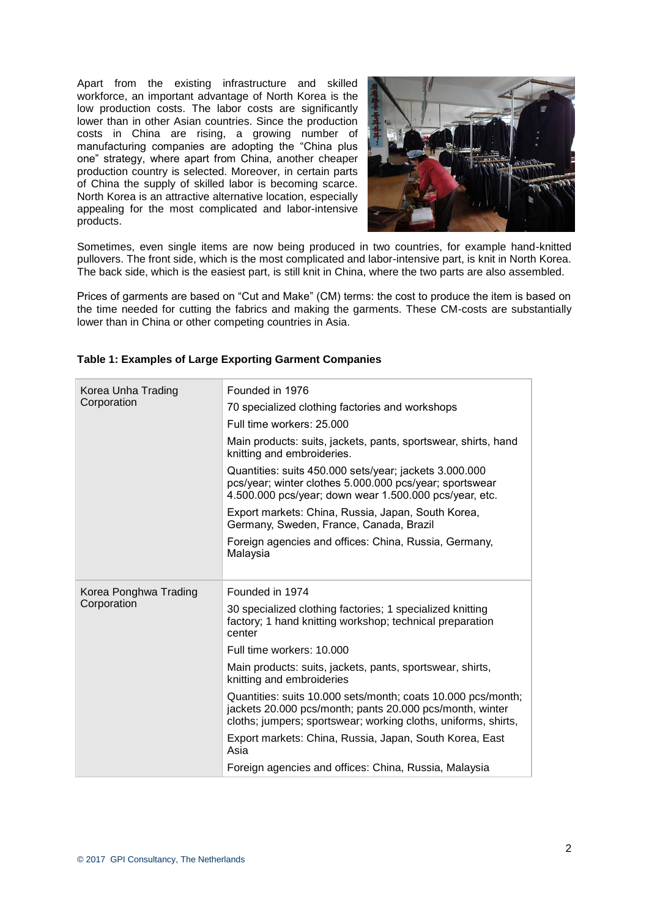Apart from the existing infrastructure and skilled workforce, an important advantage of North Korea is the low production costs. The labor costs are significantly lower than in other Asian countries. Since the production costs in China are rising, a growing number of manufacturing companies are adopting the "China plus one" strategy, where apart from China, another cheaper production country is selected. Moreover, in certain parts of China the supply of skilled labor is becoming scarce. North Korea is an attractive alternative location, especially appealing for the most complicated and labor-intensive products.



Sometimes, even single items are now being produced in two countries, for example hand-knitted pullovers. The front side, which is the most complicated and labor-intensive part, is knit in North Korea. The back side, which is the easiest part, is still knit in China, where the two parts are also assembled.

Prices of garments are based on "Cut and Make" (CM) terms: the cost to produce the item is based on the time needed for cutting the fabrics and making the garments. These CM-costs are substantially lower than in China or other competing countries in Asia.

| Korea Unha Trading<br>Corporation    | Founded in 1976                                                                                                                                                                            |
|--------------------------------------|--------------------------------------------------------------------------------------------------------------------------------------------------------------------------------------------|
|                                      | 70 specialized clothing factories and workshops                                                                                                                                            |
|                                      | Full time workers: 25,000                                                                                                                                                                  |
|                                      | Main products: suits, jackets, pants, sportswear, shirts, hand<br>knitting and embroideries.                                                                                               |
|                                      | Quantities: suits 450.000 sets/year; jackets 3.000.000<br>pcs/year; winter clothes 5.000.000 pcs/year; sportswear<br>4.500.000 pcs/year; down wear 1.500.000 pcs/year, etc.                |
|                                      | Export markets: China, Russia, Japan, South Korea,<br>Germany, Sweden, France, Canada, Brazil                                                                                              |
|                                      | Foreign agencies and offices: China, Russia, Germany,<br>Malaysia                                                                                                                          |
| Korea Ponghwa Trading<br>Corporation |                                                                                                                                                                                            |
|                                      | Founded in 1974                                                                                                                                                                            |
|                                      | 30 specialized clothing factories; 1 specialized knitting<br>factory; 1 hand knitting workshop; technical preparation<br>center                                                            |
|                                      | Full time workers: 10,000                                                                                                                                                                  |
|                                      | Main products: suits, jackets, pants, sportswear, shirts,<br>knitting and embroideries                                                                                                     |
|                                      | Quantities: suits 10.000 sets/month; coats 10.000 pcs/month;<br>jackets 20.000 pcs/month; pants 20.000 pcs/month, winter<br>cloths; jumpers; sportswear; working cloths, uniforms, shirts, |
|                                      | Export markets: China, Russia, Japan, South Korea, East<br>Asia                                                                                                                            |
|                                      | Foreign agencies and offices: China, Russia, Malaysia                                                                                                                                      |

#### **Table 1: Examples of Large Exporting Garment Companies**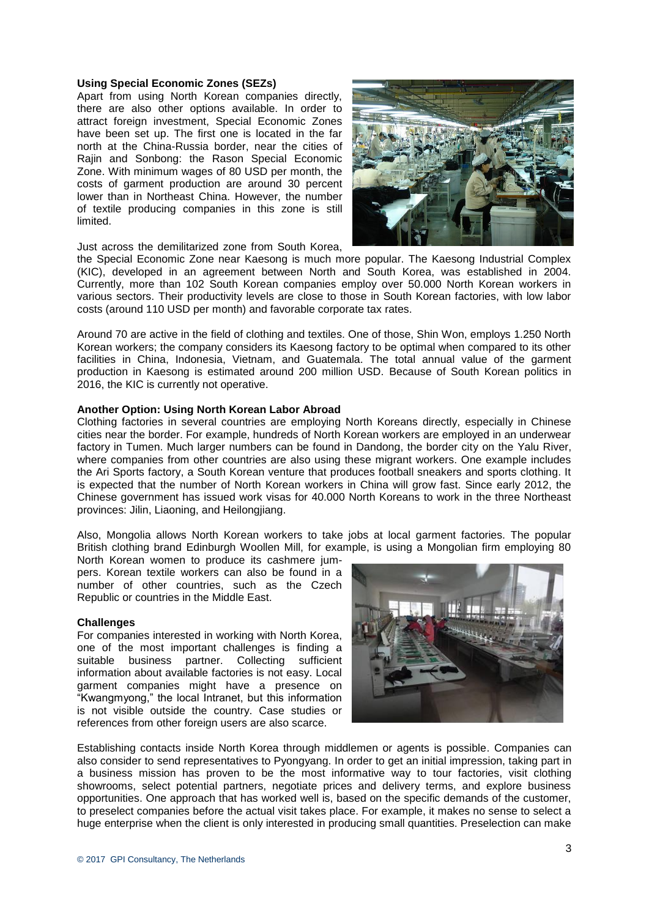#### **Using Special Economic Zones (SEZs)**

Apart from using North Korean companies directly, there are also other options available. In order to attract foreign investment, Special Economic Zones have been set up. The first one is located in the far north at the China-Russia border, near the cities of Rajin and Sonbong: the Rason Special Economic Zone. With minimum wages of 80 USD per month, the costs of garment production are around 30 percent lower than in Northeast China. However, the number of textile producing companies in this zone is still limited.



Just across the demilitarized zone from South Korea,

the Special Economic Zone near Kaesong is much more popular. The Kaesong Industrial Complex (KIC), developed in an agreement between North and South Korea, was established in 2004. Currently, more than 102 South Korean companies employ over 50.000 North Korean workers in various sectors. Their productivity levels are close to those in South Korean factories, with low labor costs (around 110 USD per month) and favorable corporate tax rates.

Around 70 are active in the field of clothing and textiles. One of those, Shin Won, employs 1.250 North Korean workers; the company considers its Kaesong factory to be optimal when compared to its other facilities in China, Indonesia, Vietnam, and Guatemala. The total annual value of the garment production in Kaesong is estimated around 200 million USD. Because of South Korean politics in 2016, the KIC is currently not operative.

#### **Another Option: Using North Korean Labor Abroad**

Clothing factories in several countries are employing North Koreans directly, especially in Chinese cities near the border. For example, hundreds of North Korean workers are employed in an underwear factory in Tumen. Much larger numbers can be found in Dandong, the border city on the Yalu River, where companies from other countries are also using these migrant workers. One example includes the Ari Sports factory, a South Korean venture that produces football sneakers and sports clothing. It is expected that the number of North Korean workers in China will grow fast. Since early 2012, the Chinese government has issued work visas for 40.000 North Koreans to work in the three Northeast provinces: Jilin, Liaoning, and Heilongjiang.

Also, Mongolia allows North Korean workers to take jobs at local garment factories. The popular British clothing brand Edinburgh Woollen Mill, for example, is using a Mongolian firm employing 80

North Korean women to produce its cashmere jumpers. Korean textile workers can also be found in a number of other countries, such as the Czech Republic or countries in the Middle East.

#### **Challenges**

For companies interested in working with North Korea, one of the most important challenges is finding a suitable business partner. Collecting sufficient information about available factories is not easy. Local garment companies might have a presence on "Kwangmyong," the local Intranet, but this information is not visible outside the country. Case studies or references from other foreign users are also scarce.



Establishing contacts inside North Korea through middlemen or agents is possible. Companies can also consider to send representatives to Pyongyang. In order to get an initial impression, taking part in a business mission has proven to be the most informative way to tour factories, visit clothing showrooms, select potential partners, negotiate prices and delivery terms, and explore business opportunities. One approach that has worked well is, based on the specific demands of the customer, to preselect companies before the actual visit takes place. For example, it makes no sense to select a huge enterprise when the client is only interested in producing small quantities. Preselection can make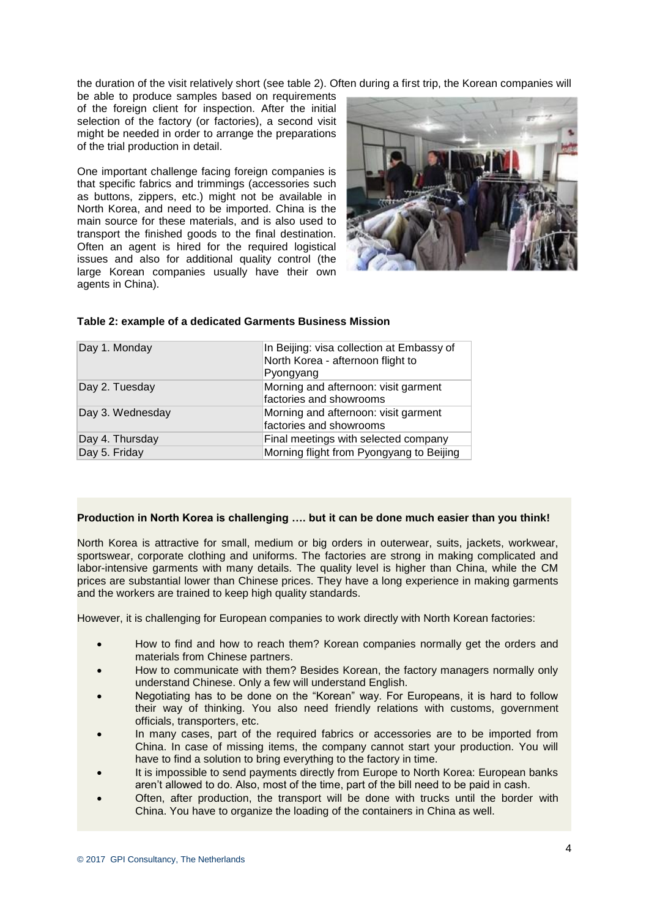the duration of the visit relatively short (see table 2). Often during a first trip, the Korean companies will

be able to produce samples based on requirements of the foreign client for inspection. After the initial selection of the factory (or factories), a second visit might be needed in order to arrange the preparations of the trial production in detail.

One important challenge facing foreign companies is that specific fabrics and trimmings (accessories such as buttons, zippers, etc.) might not be available in North Korea, and need to be imported. China is the main source for these materials, and is also used to transport the finished goods to the final destination. Often an agent is hired for the required logistical issues and also for additional quality control (the large Korean companies usually have their own agents in China).



| Day 1. Monday    | In Beijing: visa collection at Embassy of<br>North Korea - afternoon flight to<br>Pyongyang |
|------------------|---------------------------------------------------------------------------------------------|
| Day 2. Tuesday   | Morning and afternoon: visit garment<br>factories and showrooms                             |
| Day 3. Wednesday | Morning and afternoon: visit garment<br>factories and showrooms                             |
| Day 4. Thursday  | Final meetings with selected company                                                        |
| Day 5. Friday    | Morning flight from Pyongyang to Beijing                                                    |

#### **Table 2: example of a dedicated Garments Business Mission**

#### **Production in North Korea is challenging …. but it can be done much easier than you think!**

North Korea is attractive for small, medium or big orders in outerwear, suits, jackets, workwear, sportswear, corporate clothing and uniforms. The factories are strong in making complicated and labor-intensive garments with many details. The quality level is higher than China, while the CM prices are substantial lower than Chinese prices. They have a long experience in making garments and the workers are trained to keep high quality standards.

However, it is challenging for European companies to work directly with North Korean factories:

- How to find and how to reach them? Korean companies normally get the orders and materials from Chinese partners.
- How to communicate with them? Besides Korean, the factory managers normally only understand Chinese. Only a few will understand English.
- Negotiating has to be done on the "Korean" way. For Europeans, it is hard to follow their way of thinking. You also need friendly relations with customs, government officials, transporters, etc.
- In many cases, part of the required fabrics or accessories are to be imported from China. In case of missing items, the company cannot start your production. You will have to find a solution to bring everything to the factory in time.
- It is impossible to send payments directly from Europe to North Korea: European banks aren't allowed to do. Also, most of the time, part of the bill need to be paid in cash.
- Often, after production, the transport will be done with trucks until the border with China. You have to organize the loading of the containers in China as well.